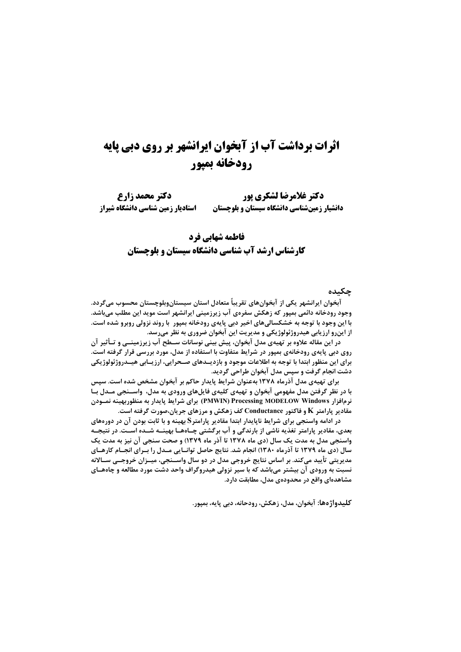# **اثرات برداشت آب از آبخوان ایرانشهر بر روی دبی پایه** رودخانه بميور

دكتر غلامرضا لشكري يور دكتر محمد زارع استادیار زمین شناسی دانشگاه شیراز دانشیار زمینشناسی دانشگاه سیستان و بلوچستان

# فاطمه شهابی فرد **کارشناس ارشد آب شناسی دانشگاه سیستان و بلوچستان**

#### جكىدە

آبخوان ایرانشهر یکی از آبخوانهای تقریباً متعادل استان سیستانوبلوچستان محسوب میگردد. وجود رودخانه دائمی بمپور که زهکش سفرهی آب زیرزمینی ایرانشهر است موید این مطلب میباشد. با این وجود با توجه به خشکسالیهای اخیر دبی پایهی رودخانه بمپور با روند نزولی روبرو شده است. از اینرو ارزیابی هیدروژئولوژیکی و مدیریت این آبخوان ضروری به نظر میرسد.

در این مقاله علاوه بر تهیهی مدل آبخوان، پیش بینی نوسانات سـطح آب زیرزمینــی و تــأثیر آن روی دبی پایهی رودخانهی بمپور در شرایط متفاوت با استفاده از مدل، مورد بررسی قرار گرفته است. برای این منظور ابتدا با توجه به اطلاعات موجود و بازدیــدهای صــحرایی، ارزیــابی هیــدروژئولوژیکی دشت انجام گرفت و سپس مدل آبخوان طراحی گردید.

برای تهیهی مدل آذرماه ۱۳۷۸ بهعنوان شرایط پایدار حاکم بر آبخوان مشخص شده است. سپس با در نظر گرفتن مدل مفهومی آبخوان و تهیهی کلیهی فایلهای ورودی به مدل، واســنجی مــدل بــا نرمافزار PMWIN) Processing MODELOW Windows) برای شرایط پایدار به منظوربهینه نمـودن مقادیر پارامتر K و فاکتور Conductance کف زهکش و مرزهای جریان،صورت گرفته است.

در ادامه واسنجی برای شرایط ناپایدار ابتدا مقادیر پارامتر§بهینه و با ثابت بودن آن در دورههای بعدی، مقادیر پارامتر تغذیه ناشی از بارندگی و آب برگشتی چـاههـا بهینــه شــده اســت. در نتیجــه واسنجي مدل به مدت يک سال (دي ماه ١٣٧٨ تا آذر ماه ١٣٧٩) و صحت سنجي آن نيز به مدت يک سال (دی ماه ۱۳۷۹ تا آذرماه ۱۳۸۰) انجام شد. نتایج حاصل توانـایی مـدل را بـرای انجـام کارهـای مدیریتی تأیید میکند. بر اساس نتایج خروجی مدل در دو سال واســنجی، میــزان خروجــی ســالانه نسبت به ورودی آن بیشتر میباشد که با سیر نزولی هیدروگراف واحد دشت مورد مطالعه و چاههـای مشاهدهای واقع در محدودهی مدل، مطابقت دارد.

كليدواژەها: آبخوان، مدل، زهكش، رودحانه، دبي پايه، بمپور.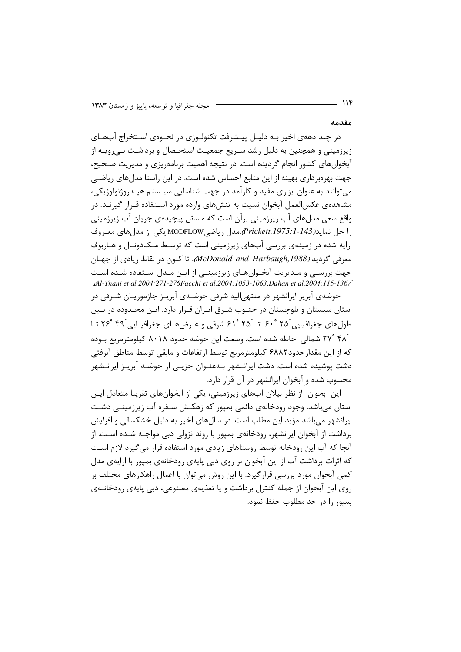مقدمه

در چند دههی اخیر بـه دلیـل پیـشرفت تکنولـوژی در نحـوهی اسـتخراج آبهـای زیرزمینی و همچنین به دلیل رشد سـریع جمعیـت استحـصال و برداشـت بـی,رویـه از آبخوانهای کشور انجام گردیده است. در نتیجه اهمیت برنامهریزی و مدیریت صحیح، جهت بهرهبرداری بهینه از این منابع احساس شده است. در این راستا مدلهای ریاضی می توانند به عنوان ابزاری مفید و کارآمد در جهت شناسایی سیـستم هیـدروژئولوژیکی، مشاهدهی عکس|لعمل آبخوان نسبت به تنشهای وارده مورد اسـتفاده قـرار گیرنـد. در واقع سعی مدلهای آب زیرزمینی برآن است که مسائل پیچیدهی جریان آب زیرزمینی ,ا حل نمايد(Prickett,1975:1-143,مدل , ياضي MODFLOW يكي از مدل هاي معبروف ارایه شده در زمینهی بررسی آبهای زیرزمینی است که توسط مـک\دونـال و هـاربوف معرفی گردید (McDonald and Harbaugh,1988). تا کنون در نقاط زیادی از جهیان جهت بررســی و مــدیریت آبخــوانِهــای زیرزمینــی از ایــن مــدل اســتفاده شــده اســت Al-Thani et al.2004:271-276Facchi et al.2004:1053-1063, Dahan et al.2004:115-136

حوضهی آبریز ایرانشهر در منتهی|لیه شرقی حوضـهی آبریـز جازموریـان شـرقی در استان سیستان و بلوچستان در جنــوب شــرق ایـران قـرار دارد. ایــن محــدوده در بــین طول های جغرافیایی َ۲۵°۴۰ تا َ۲۵°۴۱ شرقی و عرض هـای جغرافیـایی َ۴۹ °۲۶ تـا ۴۸<sup>° ۲۷</sup> شمالی احاطه شده است. وسعت این حوضه حدود ۸۰۱۸ کیلومترمربع بـوده كه از اين مقدار حدود۶۸۸۲ كيلومترمربع توسط ارتفاعات و مابقي توسط مناطق آبرفتي دشت پوشیده شده است. دشت ایرانــشهر بــهعنــوان جزیــی از حوضــه آبریــز ایرانــشهر محسوب شده و آبخوان ایرانشهر در آن قرار دارد.

این آبخوان ِ از نظر بیلان آبهای زیرزمینی، یکی از آبخوانهای تقریبا متعادل ایـن استان میباشد. وجود رودخانهی دائمی بمپور که زهکـش سـفره آب زیرزمینـی دشـت ایرانشهر می،باشد مؤید این مطلب است. در سال های اخیر به دلیل خشکسالی و افزایش برداشت از آبخوان ایرانشهر، رودخانهی بمپور با روند نزولی دبی مواجـه شــده اســت. از آنجا که آب این رودخانه توسط روستاهای زیادی مورد استفاده قرار می گیرد لازم است که اثرات برداشت آب از این آبخوان بر روی دبی پایهی رودخانهی بمپور با ارایهی مدل کمی آبخوان مورد بررسی قرارگیرد. با این روش می توان با اعمال راهکارهای مختلف بر روی این آبحوان از جمله کنترل برداشت و یا تغذیهی مصنوعی، دبی پایهی رودخانـهی بميور را در حد مطلوب حفظ نمود.

 $\sqrt{15}$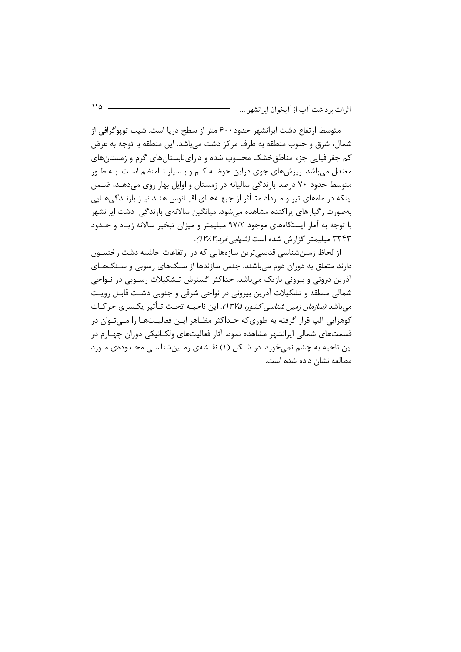متوسط ارتفاع دشت ایرانشهر حدود۶۰۰ متر از سطح دریا است. شیب توپوگرافی از شمال، شرق و جنوب منطقه به طرف مركز دشت مى باشد. اين منطقه با توجه به عرض کم جغرافیایی جزء مناطقخشک محسوب شده و دارایتابستانهای گرم و زمستانهای معتدل می باشد. ریزش های جوی دراین حوضـه کـم و بـسیار نـامنظم اسـت. بـه طـور متوسط حدود ۷۰ درصد بارندگی سالیانه در زمستان و اوایل بهار روی میدهـد، ضـمن اینکه در ماههای تیر و مـرداد متـأثر از جبهـههـای اقیـانوس هنـد نیـز بارنـدگیهـایی بهصورت رگبارهای پراکنده مشاهده می شود. میانگین سالانهی بارندگی ِ دشت ایرانشهر با توجه به آمار ایستگاههای موجود ۹۷/۲ میلیمتر و میزان تبخیر سالانه زیـاد و حـدود ۳۳۴۳ میلیمتر گزارش شده است *(شهابی فرد,۱۳۸۳)*.

از لحاظ زمینشناسی قدیمی ترین سازههایی که در ارتفاعات حاشیه دشت رخنمـون دارند متعلق به دوران دوم می باشند. جنس سازندها از سنگهای رسوبی و سـنگـهـای آذرین درونی و بیرونی بازیک می باشد. حداکثر گسترش تـشکیلات رسـوبی در نـواحی شمالی منطقه و تشکیلات آذرین بیرونی در نواحی شرقی و جنوبی دشـت قابـل رویـت مے باشد *(سازمان زمین شناسی کشور، ۱۳۷۵)*. این ناحیـه تحـت تـأثیر پکـسری حرکـات کوهزایی آلپ قرار گرفته به طوریکه حـداکثر مظـاهر ایـن فعالیــتهـا را مــیتـوان در قسمتهای شمالی ایرانشهر مشاهده نمود. آثار فعالیتهای ولکـانیکی دوران چهـارم در این ناحیه به چشم نمی خورد. در شـکل (۱) نقـشهی زمـینشناسـی محـدودهی مـورد مطالعه نشان داده شده است.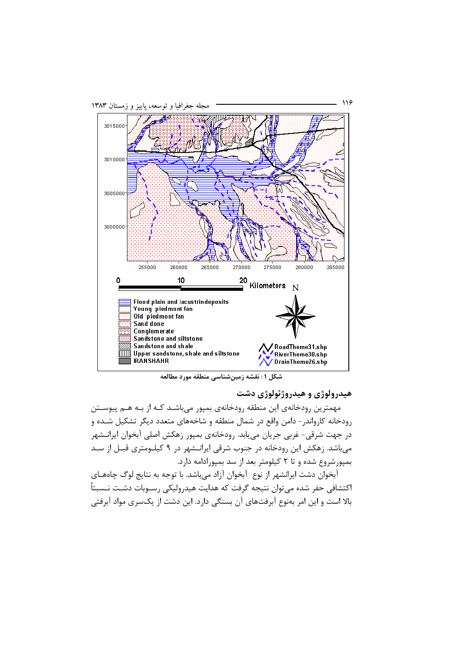

شكل ١: نقشه زمين شناسي منطقه مورد مطالعه

هیدرولوژی و هیدروژئولوژی دشت

مهمترین رودخانهی این منطقه رودخانهی بمیور می باشـد کـه از بـه هـم پیوســتن .<br>رودخانه کارواند<sub>ا</sub> – دامن واقع در شمال منطقه و شاخههای متعدد دیگر تشکیل شـده و در جهت شرقی- غربی جریان مییابد. رودخانهی بمپور زهکش اصلی آبخوان ایرانـشهر میباشد. زهکش این رودخانه در جنوب شرقی ایرانـشهر در ۹ کیلـومتری قبـل از سـد بمیورشروع شده و تا ۲ کیلومتر بعد از سد بمیورادامه دارد.

آبخوان دشت ایرانشهر از نوع آبخوان آزاد میباشد. با توجه به نتایج لوگ چاههای اکتشافی حفر شده می¤وان نتیجه گرفت که هدایت هیدرولیکی رسـوبات دشـت نـسبتاً بالا است و این امر بهنوع آبرفتهای آن بسنگی دارد. این دشت از یکسری مواد آبرفتی

116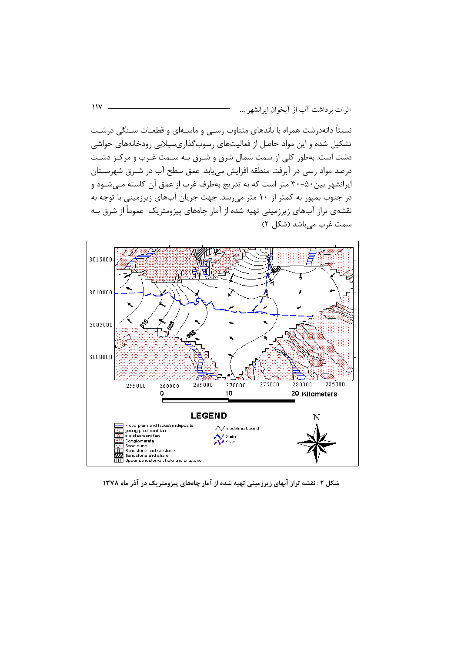نسبتاً دانهدرشت همراه با باندهای متناوب رسـی و ماسـهای و قطعـات سـنگی درشـت تشکیل شده و این مواد حاصل از فعالیتهای رسوبگذاریسیلابی رودخانههای حواشی دشت است. بهطور کلی از سمت شمال شرق و شـرق بـه سـمت غـرب و مرکـز دشـت درصد مواد رسی در آبرفت منطقه افزایش می یابد. عمق سطح آب در شـرق شهرســتان ایرانشهر بین ۵۰-۳۰ متر است که به تدریج بهطرف غرب از عمق آن کاسته مـی شـود و در جنوب بمپور به کمتر از ۱۰ متر میرسد. جهت جریان آبهای زیرزمینی با توجه به نقشهی تراز آبهای زیرزمینی تهیه شده از آمار چاههای پیزومتریک عموماً از شرق بـه سمت غرب مىباشد (شكل ٢).



شکل ۲: نقشه تراز آبهای زیرزمینی تهیه شده از آمار چاههای پیزومتریک در آذر ماه ۱۳۷۸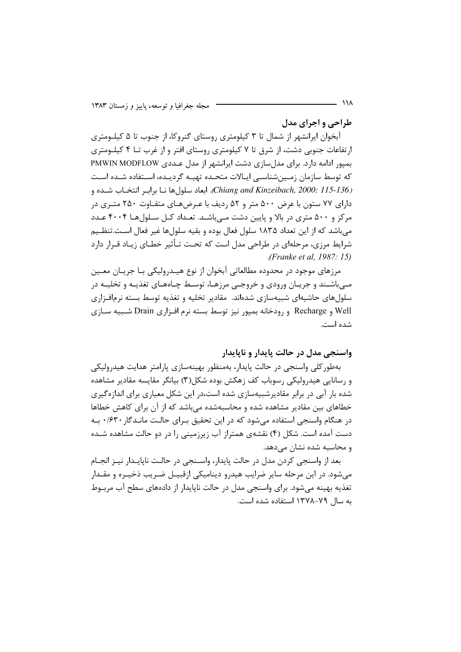طراحي و اجراي مدل

آبخوان ایرانشهر از شمال تا ۳ کیلومتری روستای گنروکا، از جنوب تا ۵ کیلـومتری ارتفاعات جنوبی دشت، از شرق تا ۷ کیلومتری روستای افتر و از غرب تــا ۴ کیلــومتری بمپور ادامه دارد. برای مدلسازی دشت ایرانشهر از مدل عـددی PMWIN MODFLOW که توسط سازمان زمینشناسی ایـالات متحـده تهیـه گردیـده، اسـتفاده شـده اسـت Chiang and Kinzeibach, 2000: 115-136). ابعاد سلول ها نـا برابـر انتخـاب شـده و دارای ۷۷ ستون با عرض ۵۰۰ متر و ۵۲ ردیف با عـرضهـای متفـاوت ۲۵۰ متـری در مرکز و ۵۰۰ متری در بالا و پایین دشت مے باشـد. تعـداد کـل سـلول هـا ۴۰۰۴ عـدد میباشد که از این تعداد ۱۸۳۵ سلول فعال بوده و بقیه سلولها غیر فعال است.تنظیم شرایط مرزی، مرحلهای در طراحی مدل است که تحت تـأثیر خطـای زیـاد قـرار دارد (*Franke et al, 1987*: 15).

مرزهای موجود در محدوده مطالعاتی آبخوان از نوع هیــدرولیکی بـا جریــان معــین مـیباشـند و جریـان ورودی و خروجـی مرزهـا، توسـط چـاههـای تغذیـه و تخلیـه در سلولهای حاشیهای شبیهسازی شدهاند. مقادیر تخلیه و تغذیه توسط بسته نرمافـزاری Well و Recharge و رودخانه بمیور نیز توسط بسته نرم افـزاری Drain شـبیه سـازی شده است.

واسنجي مدل در حالت پايدار و ناپايدار

بهطور کلی واسنجی در حالت پایدار، بهمنظور بهینهسازی پارامتر هدایت هیدرولیکی و رسانایی هیدرولیکی رسوباب کف زهکش بوده شکل(۳) بیانگر مقایسه مقادیر مشاهده شده بار آبی در برابر مقادیرشبیهسازی شده است،در این شکل معیاری برای اندازهگیری خطاهای بین مقادیر مشاهده شده و محاسبهشده می باشد که از آن برای کاهش خطاها در هنگام واسنجی استفاده می شود که در این تحقیق بـرای حالـت مانـدگار *۱۶*۳۰ بـه دست آمده است. شکل (۴) نقشهی همتراز آب زیرزمینی را در دو حالت مشاهده شـده و محاسبه شده نشان می دهد.

بعد از واسنجی کردن مدل در حالت پایدار، واسـنجی در حالـت ناپایـدار نیـز انجـام میشود. در این مرحله سایر ضرایب هیدرو دینامیکی ازقبیـل ضـریب ذخیـره و مقـدار تغذیه بهینه می شود. برای واسنجی مدل در حالت ناپایدار از دادههای سطح آب مربـوط به سال ۷۹–۱۳۷۸ استفاده شده است.

 $\overline{111}$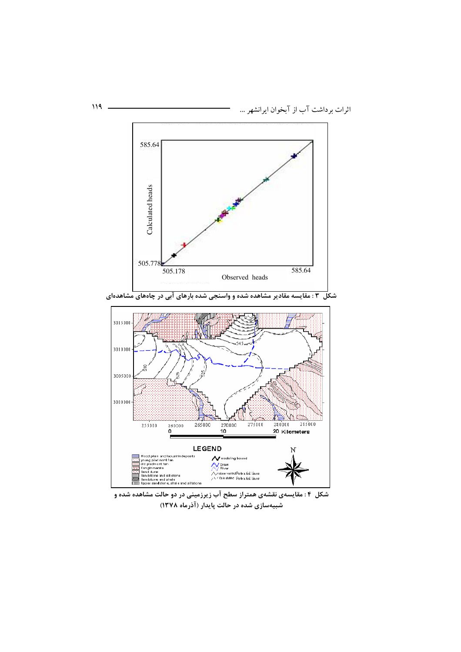

شکل ۳ : مقایسه مقادیر مشاهده شده و واسنجی شده بارهای آبی در چاههای مشاهدهای



شکل ۴: مقایسهی نقشهی همتراز سطح آب زیرزمینی در دو حالت مشاهده شده و شبیهسازی شده در حالت پایدار (آذرماه ۱۳۷۸)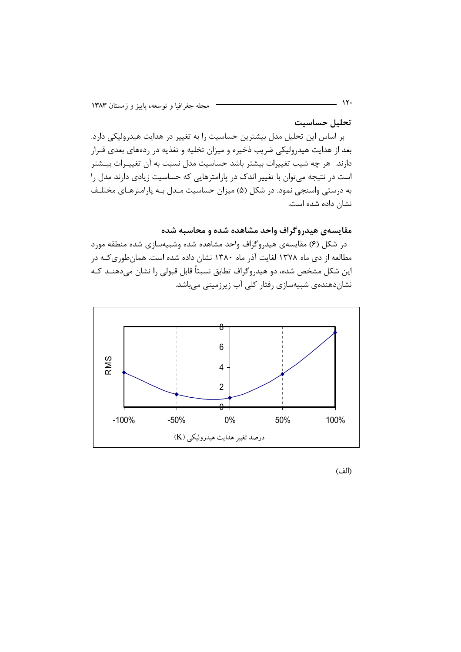تحليل حساسيت

بر اساس این تحلیل مدل بیشترین حساسیت را به تغییر در هدایت هیدرولیکی دارد. بعد از هدایت هیدرولیکی ضریب ذخیره و میزان تخلیه و تغذیه در ردههای بعدی قـرار دارند. هر چه شیب تغییرات بیشتر باشد حساسیت مدل نسبت به آن تغییـرات بیـشتر است در نتیجه میتوان با تغییر اندک در پارامترهایی که حساسیت زیادی دارند مدل را به درستی واسنجی نمود. در شکل (۵) میزان حساسیت مـدل بـه پارامترهـای مختلـف نشان داده شده است.

مقایسهی هیدروگراف واحد مشاهده شده و محاسبه شده

در شکل (۶) مقایسهی هیدروگراف واحد مشاهده شده وشبیهسازی شده منطقه مورد مطالعه از دی ماه ۱۳۷۸ لغایت آذر ماه ۱۳۸۰ نشان داده شده است. همان طوری کـه در این شکل مشخص شده، دو هیدروگراف تطابق نسبتاً قابل قبولی را نشان میدهنــد کــه نشان،دهندهی شبیهسازی رفتار کلی آب زیرزمینی میباشد.



(الف)

 $\mathcal{N}$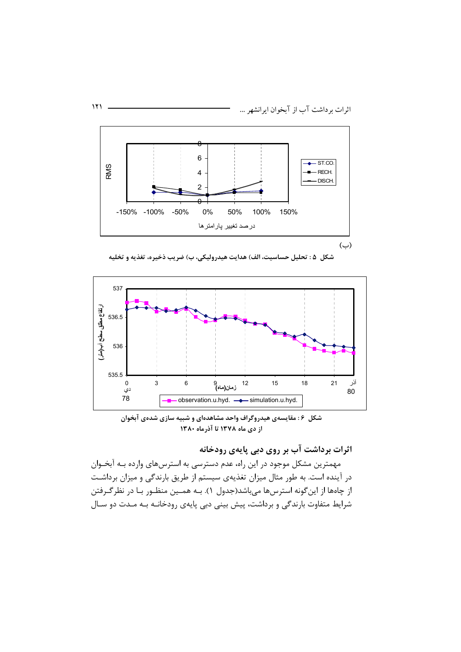

شكل ۵ : تحليل حساسيت، الف) هدايت هيدروليكي، ب) ضريب ذخيره، تغذيه و تخليه



شکل ۶: مقایسهی هیدروگراف واحد مشاهدهای و شبیه سازی شدهی آبخوان از دی ماه ۱۳۷۸ تا آذرماه ۱۳۸۰

اثرات برداشت آب بر روی دبی پایهی رودخانه

مهمترین مشکل موجود در این راه، عدم دسترسی به استرسهای وارده بـه آبخـوان در آینده است. به طور مثال میزان تغذیهی سیستم از طریق بارندگی و میزان برداشت از چاهها از این گونه استرسها میباشد(جدول ۱). بـه همـین منظـور بـا در نظر گـرفتن شرایط متفاوت بارندگی و برداشت، پیش بینی دبی پایهی رودخانـه بـه مـدت دو سـال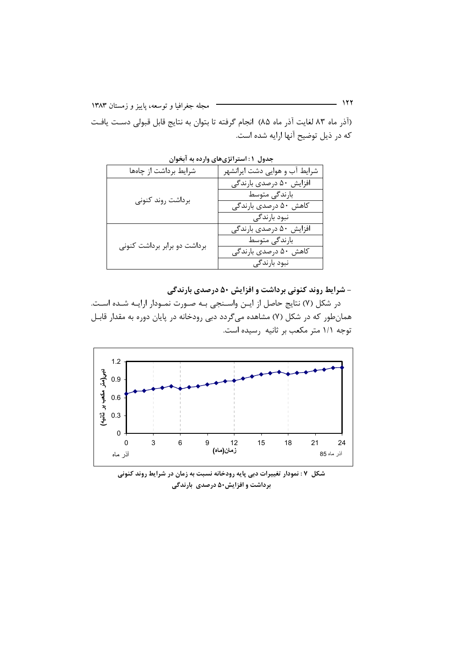(آذر ماه ۸۳ لغایت آذر ماه ۸۵) انجام گرفته تا بتوان به نتایج قابل قبولی دسـت یافـت که در ذیل توضیح آنها ارایه شده است.

| شرایط برداشت از چاهها        | شرایط آب و هوایی دشت ایرانشهر |
|------------------------------|-------------------------------|
| برداشت روند كنونى            | افزایش ۵۰ درصدی بارندگی       |
|                              | بارندگی متوسط                 |
|                              | کاهش ۵۰ درصدی بارندگی         |
|                              | نبود بارندگی                  |
| برداشت دو برابر برداشت کنونی | افزایش ۵۰ درصدی بارندگی       |
|                              | بارندگی متوسط                 |
|                              | کاهش ۵۰ درصدی بارندگی         |
|                              | نبود بارندگی                  |

جدول ۱: استراتژیهای وارده به آبخوان

- شرایط روند کنونی برداشت و افزایش ۵۰ درصدی بارندگی

در شکل (۷) نتایج حاصل از ایـن واسـنجی بـه صـورت نمـودار ارایـه شـده اسـت. همانطور که در شکل (۷) مشاهده میگردد دبی رودخانه در پایان دوره به مقدار قابـل توجه ۱/۱ متر مکعب بر ثانیه رسیده است.



شکل ۷ : نمودار تغییرات دبی پایه رودخانه نسبت به زمان در شرایط روند کنونی **برداشت و افزایش۵۰ درصدی بارندگی**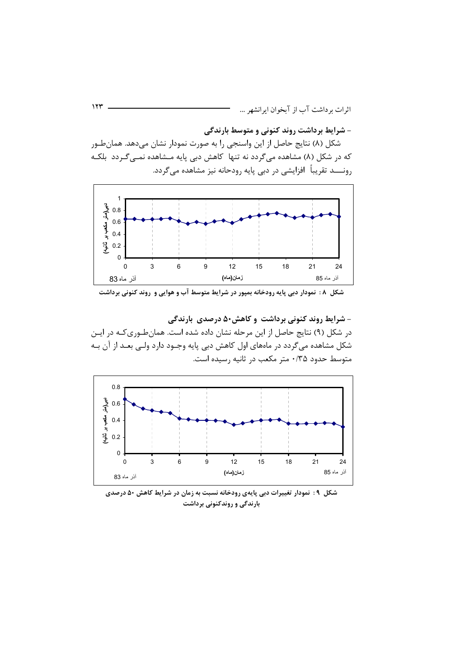- شرایط برداشت روند کنونی و متوسط بارندگی

شکل (۸) نتایج حاصل از این واسنجی را به صورت نمودار نشان میدهد. همانطور که در شکل (۸) مشاهده میگردد نه تنها کاهش دبی پایه مـشاهده نمـیگـردد بلکـه رونــــد تقریباً افزایشی در دبی پایه رودحانه نیز مشاهده می5ردد.



شکل ۸ : نمودار دبی پایه رودخانه بمیور در شرایط متوسط آب و هوایی و روند کنونی برداشت

− شرایط روند کنونی برداشت و کاهش۸۰ درصدی بارندگی در شکل (۹) نتایج حاصل از این مرحله نشان داده شده است. همانطوری کـه در ایـن شکل مشاهده میگردد در ماههای اول کاهش دبی پایه وجـود دارد ولـی بعـد از آن بـه متوسط حدود ۰/۳۵ متر مکعب در ثانیه رسیده است.



شکل ۹: نمودار تغییرات دبی پایهی رودخانه نسبت به زمان در شرایط کاهش ۵۰ درصدی بارندگی و روندکنونی برداشت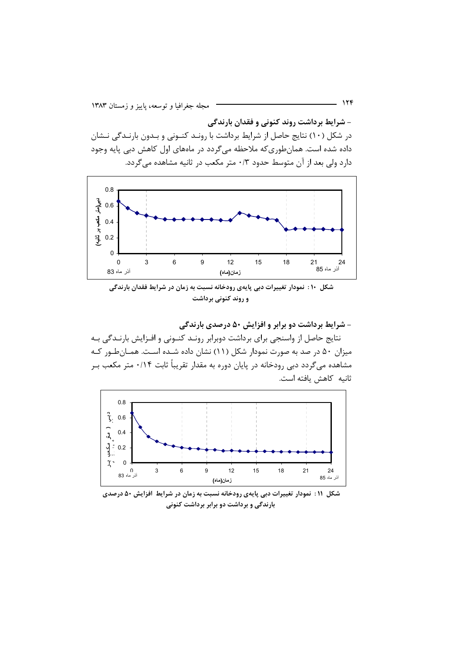- شرایط برداشت روند کنونی و فقدان بارندگی در شکل (۱۰) نتایج حاصل از شرایط برداشت با رونـد کنـونی و بـدون بارنـدگی نـشان داده شده است. همانطوری که ملاحظه می گردد در ماههای اول کاهش دبی پایه وجود دارد ولی بعد از آن متوسط حدود ۰/۳ متر مکعب در ثانیه مشاهده میگردد.



شکل ۱۰: نمودار تغییرات دبی پایهی رودخانه نسبت به زمان در شرایط فقدان بارندگی و روند کنونی برداشت

- شرایط برداشت دو برابر و افزایش ۵۰ درصدی بارندگی

نتايج حاصل از واسنجي براي برداشت دوبرابر رونـد كنـوني و افـزايش بارنـدگي بـه میزان ۵۰ در صد به صورت نمودار شکل (۱۱) نشان داده شـده اسـت. همـانطـور کـه مشاهده میگردد دبی رودخانه در پایان دوره به مقدار تقریباً ثابت ۰/۱۴ متر مکعب بـر ثانيه كاهش يافته است.



شکل ۱۱: نمودار تغییرات دبی پایهی رودخانه نسبت به زمان در شرایط افزایش ۵۰ درصدی بارندگی و برداشت دو برابر برداشت کنونی

124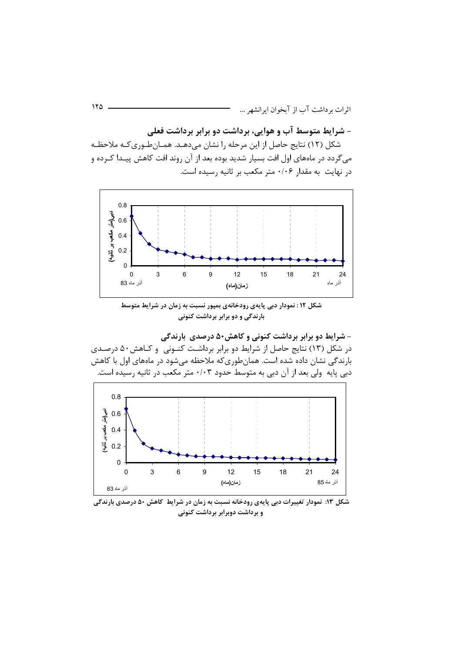– شرایط متوسط آب و هوایی، برداشت دو برابر برداشت فعلی

شکل (۱۲) نتایج حاصل از این مرحله را نشان میدهـد. همــانطـوریکـه ملاحظـه میگردد در ماههای اول افت بسیار شدید بوده بعد از آن روند افت کاهش پیـدا کــرده و در نهایت به مقدار ۰/۰۶ متر مکعب بر ثانیه رسیده است.



شکل ۱۲ : نمودار دبی پایهی رودخانهی بمپور نسبت به زمان در شرایط متوسط **بارندگی و دو برابر برداشت کنونی** 

**&, J, 50)+ # 6+ 57 # F
 7 -** در شکل (۱۳) نتایج حاصل از شرایط دو برابر برداشـت کنــونی و کــاهش۵۰ درصــدی بارندگی نشان داده شده است. همانطوریکه ملاحظه میشود در ماههای اول با کاهش دبی پایه ولی بعد از آن دبی به متوسط حدود ۰/۰۳ متر مکعب در ثانیه رسیده است.



**&, J, 50 )+ F
 7 , ! \* 5 \*0#, \*
9 C Y , . :13 V-7** و برداشت دوبرابر برداشت کنونی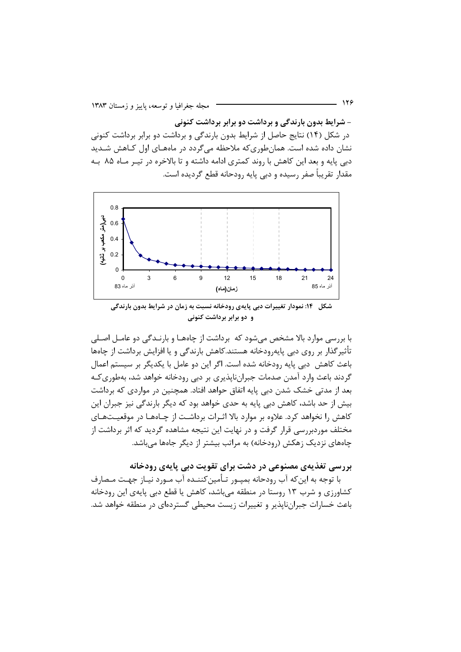- شرایط بدون بارندگی و برداشت دو برابر برداشت کنونی در شکل (۱۴) نتایج حاصل از شرایط بدون بارندگی و برداشت دو برابر برداشت کنونی نشان داده شده است. همانطوری که ملاحظه می گردد در ماههـای اول کـاهش شـدید دبی پایه و بعد این کاهش با روند کمتری ادامه داشته و تا بالاخره در تیـر مـاه ۸۵ بـه مقدار تقریباً صفر رسیده و دبی پایه رودحانه قطع گردیده است.



شکل ۱۴: نمودار تغییرات دبی پایهی رودخانه نسبت به زمان در شرایط بدون بارندگی و دو برابر برداشت کنونی

با بررسے موارد بالا مشخص مے شود که برداشت از چاهھـا و بارنــدگے دو عامــل اصــلى تأثیر گذار بر روی دبی پایه٫ودخانه هستند.کاهش بارندگی و یا افزایش برداشت از چاهها باعث كاهش ٍ دبي يايه رودخانه شده است. اگر اين دو عامل با يكديگر بر سيستم اعمال گردند باعث وارد آمدن صدمات جبرانناپذیری بر دبی رودخانه خواهد شد، بهطوری کـه بعد از مدتی خشک شدن دبی پایه اتفاق حواهد افتاد. همچنین در مواردی که برداشت بیش از حد باشد، کاهش دبی پایه به حدی خواهد بود که دیگر بارندگی نیز جبران این کاهش را نخواهد کرد. علاوه بر موارد بالا اثـرات برداشـت از چـاههـا در موقعيـتهـاى مختلف موردبررسی قرار گرفت و در نهایت این نتیجه مشاهده گردید که اثر برداشت از چاههای نزدیک زهکش (رودخانه) به مراتب بیشتر از دیگر جاهها می باشد.

بررسی تغذیهی مصنوعی در دشت برای تقویت دبی پایهی رودخانه

با توجه به این که آب رودحانه بمیـور تـأمین کننـده آب مـورد نیـاز جهـت مـصارف کشاورزی و شرب ۱۳ روستا در منطقه میباشد، کاهش یا قطع دبی پایهی این رودخانه باعث خسارات جبراننایذیر و تغییرات زیست محیطی گستردهای در منطقه خواهد شد.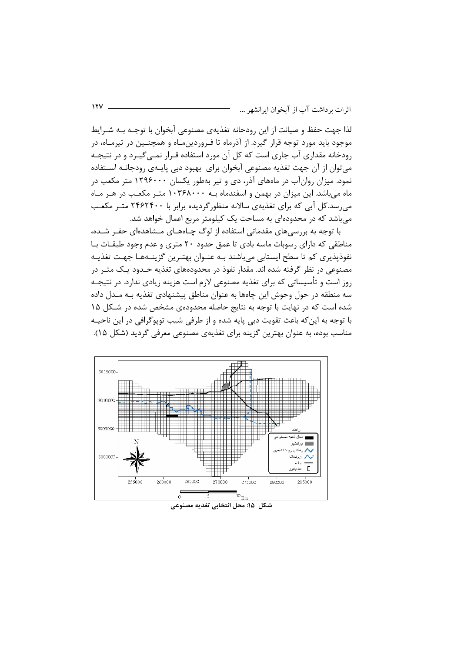لذا جهت حفظ و صیانت از این رودحانه تغذیهی مصنوعی آبخوان با توجـه بـه شـرایط موجود باید مورد توجه قرار گیرد. از آذرماه تا فـروردینِمـاه و همچنـین در تیرمـاه، در رودخانه مقداری آب جاری است که کل آن مورد استفاده قـرار نمـی5یـرد و در نتیجـه می توان از آن جهت تغذیه مصنوعی آبخوان برای بهبود دبی پایـهی رودجانـه اســتفاده نمود. میزان روانآب در ماههای آذر، دی و تیر بهطور یکسان ۱۲۹۶۰۰۰ متر مکعب در ماه میباشد. این میزان در بهمن و اسفندماه بـه ۱۰۳۶۸۰۰۰ متـر مکعـب در هـر مـاه می رسد.کل آبی که برای تغذیهی سالانه منظورگردیده برابر با ۲۴۶۲۴۰۰ متـر مکعـب می باشد که در محدودهای به مساحت یک کیلومتر مربع اعمال خواهد شد.

 $111$ 

با توجه به بررسیهای مقدماتی استفاده از لوگ چـاههـای مـشاهدهای حفـر شـده، مناطقی که دارای رسوبات ماسه بادی تا عمق حدود ۲۰ متری و عدم وجود طبقـات بـا نفوذيذيري كم تا سطح ايستابي مي باشند بـه عنـوان بهتـرين گزينــههـا جهـت تغذيــه مصنوعی در نظر گرفته شده اند. مقدار نفوذ در محدودههای تغذیه حـدود یـک متـر در روز است و تأسیساتی که برای تغذیه مصنوعی لازم است هزینه زیادی ندارد. در نتیجـه سه منطقه در حول وحوش این چاهها به عنوان مناطق پیشنهادی تغذیه بـه مـدل داده شده است که در نهایت با توجه به نتایج حاصله محدودهی مشخص شده در شـکل ۱۵ با توجه به این که باعث تقویت دبی پایه شده و از طرفی شیب توپوگرافی در این ناحیــه مناسب بوده، به عنوان بهترین گزینه برای تغذیهی مصنوعی معرفی گردید (شکل ۱۵).

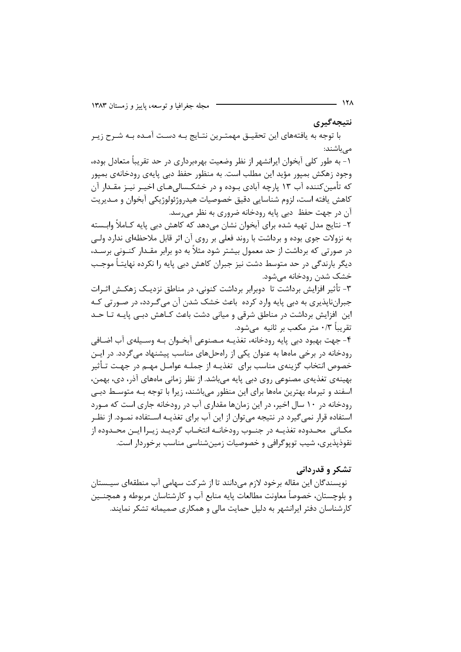نتيجەگيرى

با توجه به یافتههای این تحقیــق مهمتـرین نتـایج بــه دســت آمــده بــه شــرح زیــر مے باشند:

۱- به طور کلی آبخوان ایرانشهر از نظر وضعیت بهرهبرداری در حد تقریباً متعادل بوده، وجود زهکش بميور مؤيد اين مطلب است. به منظور حفظ دبي پايهي رودخانهي بميور که تأمینکننده آب ۱۳ پارچه آبادی بـوده و در خشکـسالیِهـای اخیـر نیـز مقـدار آن كاهش يافته است، لزوم شناسايي دقيق خصوصيات هيدروژئولوژيكي آبخوان و مــديريت آن در جهت حفظ دبی پایه رودخانه ضروری به نظر می رسد.

۲- نتایج مدل تهیه شده برای آبخوان نشان میدهد که کاهش دبی پایه کـاملاً وابـسته به نزولات جوی بوده و برداشت با روند فعلی بر روی آن اثر قابل ملاحظهای ندارد ولـی در صورتی که برداشت از حد معمول بیشتر شود مثلاً به دو برابر مقـدار کنــونی برســد، دیگر بارندگی در حد متوسط دشت نیز جبران کاهش دیی پایه را نکرده نهایتـاً موجـب خشک شدن رودخانه مے شود.

۳- تأثیر افزایش برداشت تا دوبرابر برداشت کنونی، در مناطق نزدیـک زهکـش اثـرات جبرانناپذیری به دبی پایه وارد کرده باعث خشک شدن آن میگردد، در صورتی کـه این افزایش برداشت در مناطق شرقی و میانی دشت باعث کـاهش دبـی پایـه تـا حـد تقريباً ٣/٠ متر مكعب بر ثانيه ۖ ميشود.

۴- جهت بهبود دبي پايه رودخانه، تغذيــه مــصنوعي آبخــوان بــه وســيلهي آب اضــافي رودخانه در برخی ماهها به عنوان یکی از راهحلهای مناسب پیشنهاد می گردد. در ایــن خصوص انتخاب گزینهی مناسب برای تغذیــه از جملــه عوامــل مهــم در جهــت تــأثیر بهینهی تغذیهی مصنوعی روی دبی پایه می،باشد. از نظر زمانی ماههای آذر، دی، بهمن، اسفند و تیرماه بهترین ماهها برای این منظور میباشند، زیرا با توجه بـه متوسـط دبـی رودخانه در ۱۰ سال اخیر، در این زمانها مقداری آب در رودخانه جاری است که مـورد استفاده قرار نمی گیرد در نتیجه می توان از این آب برای تغذیــه اســتفاده نمــود. از نظــر مكـاني ِ محـدوده تغذيــه در جنــوب رودخانــه انتخــاب گرديــد زيــرا ايــن محــدوده از نقوذپذیری، شیب توپوگرافی و خصوصیات زمینشناسی مناسب برخوردار است.

## تشکر و قدردانی

نویسندگان این مقاله برخود لازم میدانند تا از شرکت سهامی آب منطقهای سیـستان و بلوچستان، خصوصاً معاونت مطالعات پایه منابع آب و کارشتاسان مربوطه و همچنــین کارشناسان دفتر ایرانشهر به دلیل حمایت مالی و همکاری صمیمانه تشکر نمایند.

- 178